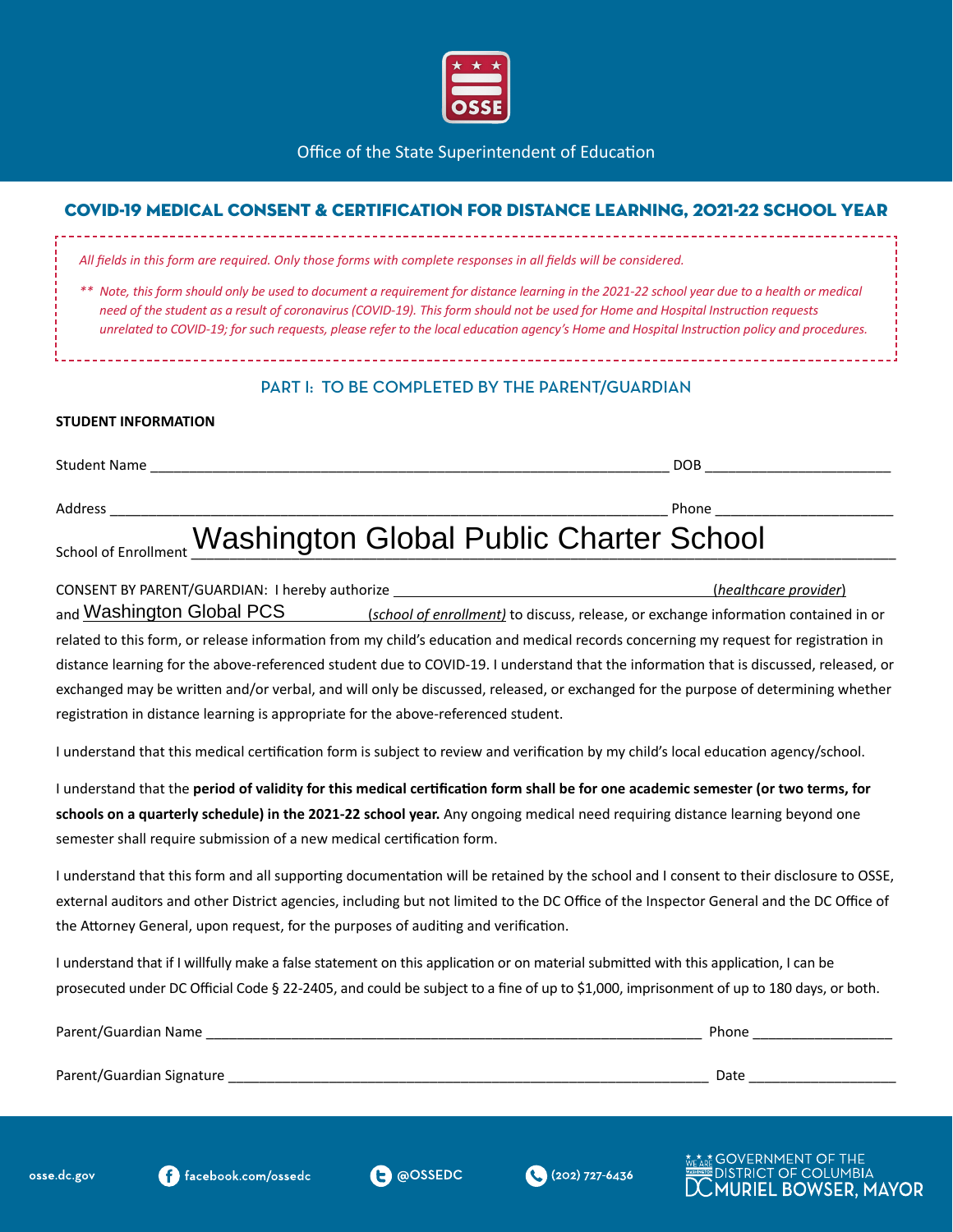

Office of the State Superintendent of Education

## COVID-19 MEDICAL CONSENT & CERTIFICATION FOR DISTANCE LEARNING, 2021-22 SCHOOL YEAR

|  |  |  |  | All fields in this form are required. Only those forms with complete responses in all fields will be considered. |
|--|--|--|--|------------------------------------------------------------------------------------------------------------------|
|  |  |  |  |                                                                                                                  |

*\*\* Note, this form should only be used to document a requirement for distance learning in the 2021-22 school year due to a health or medical need of the student as a result of coronavirus (COVID-19). This form should not be used for Home and Hospital Instruction requests unrelated to COVID-19; for such requests, please refer to the local education agency's Home and Hospital Instruction policy and procedures.*

## PART I: TO BE COMPLETED BY THE PARENT/GUARDIAN

## **STUDENT INFORMATION**

Student Name \_\_\_\_\_\_\_\_\_\_\_\_\_\_\_\_\_\_\_\_\_\_\_\_\_\_\_\_\_\_\_\_\_\_\_\_\_\_\_\_\_\_\_\_\_\_\_\_\_\_\_\_\_\_\_\_\_\_\_\_\_\_\_\_\_\_\_ DOB \_\_\_\_\_\_\_\_\_\_\_\_\_\_\_\_\_\_\_\_\_\_\_\_

Address \_\_\_\_\_\_\_\_\_\_\_\_\_\_\_\_\_\_\_\_\_\_\_\_\_\_\_\_\_\_\_\_\_\_\_\_\_\_\_\_\_\_\_\_\_\_\_\_\_\_\_\_\_\_\_\_\_\_\_\_\_\_\_\_\_\_\_\_\_\_\_\_ Phone \_\_\_\_\_\_\_\_\_\_\_\_\_\_\_\_\_\_\_\_\_\_\_

## School of Enrollment Washington Global Public Charter School

| CONSENT BY PARENT/GUARDIAN: I hereby authorize                                                                                        | (healthcare provider)                                                                                                                |  |  |  |
|---------------------------------------------------------------------------------------------------------------------------------------|--------------------------------------------------------------------------------------------------------------------------------------|--|--|--|
| <sub>and</sub> Washington Global PCS                                                                                                  | (school of enrollment) to discuss, release, or exchange information contained in or                                                  |  |  |  |
|                                                                                                                                       | related to this form, or release information from my child's education and medical records concerning my request for registration in |  |  |  |
| distance learning for the above-referenced student due to COVID-19. I understand that the information that is discussed, released, or |                                                                                                                                      |  |  |  |
| exchanged may be written and/or verbal, and will only be discussed, released, or exchanged for the purpose of determining whether     |                                                                                                                                      |  |  |  |
| registration in distance learning is appropriate for the above-referenced student.                                                    |                                                                                                                                      |  |  |  |

I understand that this medical certification form is subject to review and verification by my child's local education agency/school.

I understand that the **period of validity for this medical certification form shall be for one academic semester (or two terms, for schools on a quarterly schedule) in the 2021-22 school year.** Any ongoing medical need requiring distance learning beyond one semester shall require submission of a new medical certification form.

I understand that this form and all supporting documentation will be retained by the school and I consent to their disclosure to OSSE, external auditors and other District agencies, including but not limited to the DC Office of the Inspector General and the DC Office of the Attorney General, upon request, for the purposes of auditing and verification.

I understand that if I willfully make a false statement on this application or on material submitted with this application, I can be prosecuted under DC Official Code § 22-2405, and could be subject to a fine of up to \$1,000, imprisonment of up to 180 days, or both.

| Parent/Guardian Name      | Phone |
|---------------------------|-------|
|                           |       |
| Parent/Guardian Signature | Date  |





E GOVERNMENT OF THE **DISTRICT OF COLUMBIA RIEL BOWSER, MAYOR**